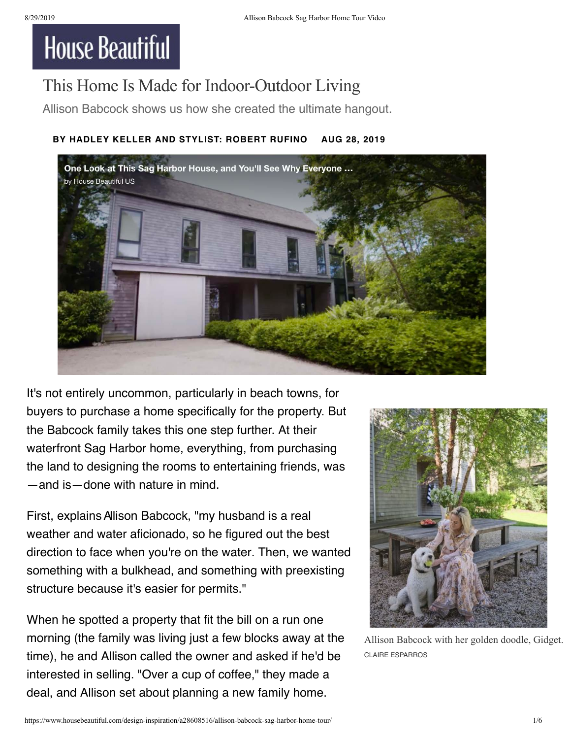## **House Beautiful**

## This Home Is Made for Indoor-Outdoor Living

Allison Babcock shows us how she created the ultimate hangout.

## **BY [HADLEY KELLER](https://www.housebeautiful.com/author/221884/hadley-keller/) AND STYLIST: ROBERT RUFINO AUG 28, 2019**



It's not entirely uncommon, particularly in beach towns, for buyers to purchase a home specifically for the property. But the Babcock family takes this one step further. At their waterfront Sag Harbor home, everything, from purchasing the land to designing the rooms to entertaining friends, was —and is—done with nature in mind.

First, explains Allison Babcock, "my husband is a real weather and water aficionado, so he figured out the best direction to face when you're on the water. Then, we wanted something with a bulkhead, and something with preexisting structure because it's easier for permits."

When he spotted a property that fit the bill on a run one morning (the family was living just a few blocks away at the time), he and Allison called the owner and asked if he'd be interested in selling. "Over a cup of coffee," they made a deal, and Allison set about planning a new family home.



Allison Babcock with her golden doodle, Gidget. CLAIRE ESPARROS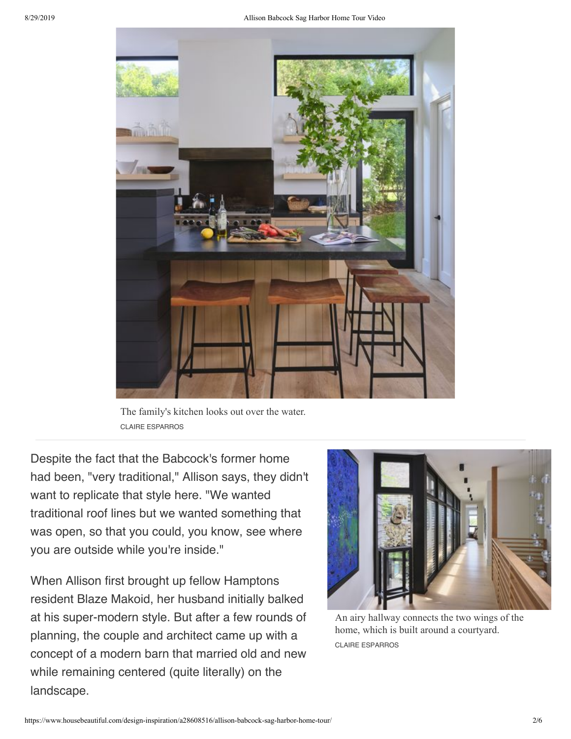

The family's kitchen looks out over the water. CLAIRE ESPARROS

Despite the fact that the Babcock's former home had been, "very traditional," Allison says, they didn't want to replicate that style here. "We wanted traditional roof lines but we wanted something that was open, so that you could, you know, see where you are outside while you're inside."

When Allison first brought up fellow Hamptons resident Blaze Makoid, her husband initially balked at his super-modern style. But after a few rounds of planning, the couple and architect came up with a concept of a modern barn that married old and new while remaining centered (quite literally) on the landscape.



An airy hallway connects the two wings of the home, which is built around a courtyard. CLAIRE ESPARROS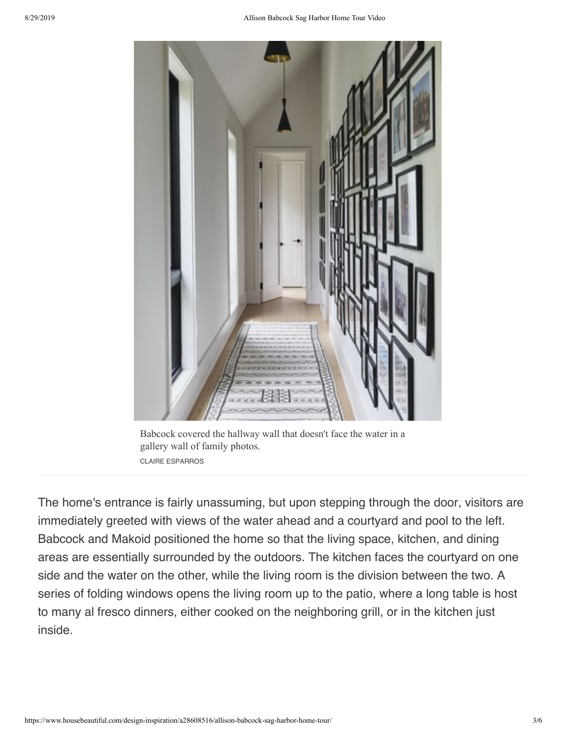

Babcock covered the hallway wall that doesn't face the water in a gallery wall of family photos. CLAIRE ESPARROS

The home's entrance is fairly unassuming, but upon stepping through the door, visitors are immediately greeted with views of the water ahead and a courtyard and pool to the left. Babcock and Makoid positioned the home so that the living space, kitchen, and dining areas are essentially surrounded by the outdoors. The kitchen faces the courtyard on one side and the water on the other, while the living room is the division between the two. A series of folding windows opens the living room up to the patio, where a long table is host to many al fresco dinners, either cooked on the neighboring grill, or in the kitchen just inside.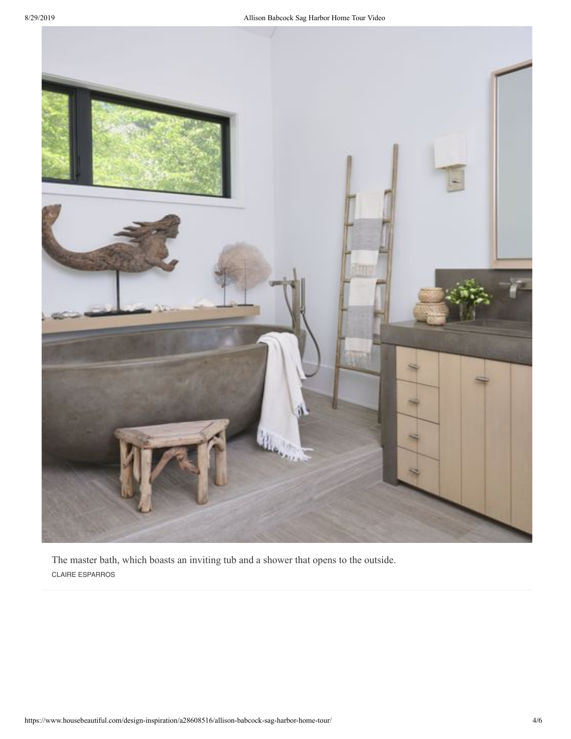

The master bath, which boasts an inviting tub and a shower that opens to the outside. CLAIRE ESPARROS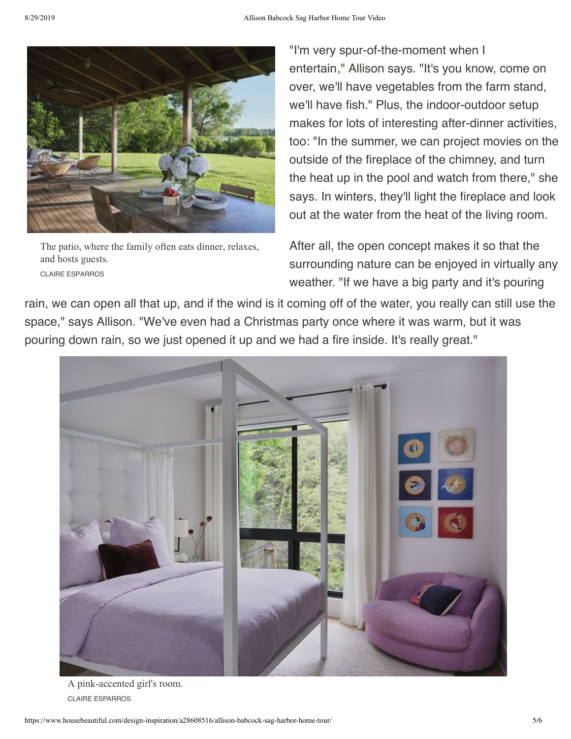

The patio, where the family often eats dinner, relaxes, and hosts guests. CLAIRE ESPARROS

"I'm very spur-of-the-moment when I entertain[," Allison](https://www.housebeautiful.com/entertaining/table-decor/) says. "It's you know, come on over, we'll have vegetables from the farm stand, we'll have fish." Plus, the indoor-outdoor setup makes for lots of interesting after-dinner activities, too: "In the summer, we can project movies on the outside of the fireplace of the chimney, and turn the heat up in the pool and watch from there," she says. In winters, they'll light the fireplace and look out at the water from the heat of the living room.

After all, the open concept makes it so that the surrounding nature can be enjoyed in virtually any weather. "If we have a big party and it's pouring

rain, we can open all that up, and if the wind is it coming off of the water, you really can still use the space," says Allison. "We've even had a Christmas party once where it was warm, but it was pouring down rain, so we just opened it up and we had a fire inside. It's really great."



A pink-accented girl's room. CLAIRE ESPARROS